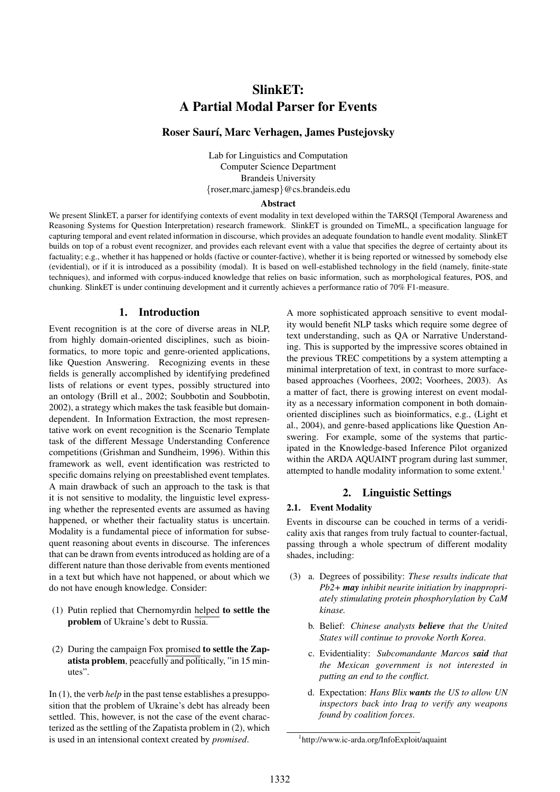# SlinkET: A Partial Modal Parser for Events

# Roser Saurí, Marc Verhagen, James Pustejovsky

Lab for Linguistics and Computation Computer Science Department Brandeis University {roser,marc,jamesp}@cs.brandeis.edu

#### **Abstract**

We present SlinkET, a parser for identifying contexts of event modality in text developed within the TARSQI (Temporal Awareness and Reasoning Systems for Question Interpretation) research framework. SlinkET is grounded on TimeML, a specification language for capturing temporal and event related information in discourse, which provides an adequate foundation to handle event modality. SlinkET builds on top of a robust event recognizer, and provides each relevant event with a value that specifies the degree of certainty about its factuality; e.g., whether it has happened or holds (factive or counter-factive), whether it is being reported or witnessed by somebody else (evidential), or if it is introduced as a possibility (modal). It is based on well-established technology in the field (namely, finite-state techniques), and informed with corpus-induced knowledge that relies on basic information, such as morphological features, POS, and chunking. SlinkET is under continuing development and it currently achieves a performance ratio of 70% F1-measure.

### 1. Introduction

Event recognition is at the core of diverse areas in NLP, from highly domain-oriented disciplines, such as bioinformatics, to more topic and genre-oriented applications, like Question Answering. Recognizing events in these fields is generally accomplished by identifying predefined lists of relations or event types, possibly structured into an ontology (Brill et al., 2002; Soubbotin and Soubbotin, 2002), a strategy which makes the task feasible but domaindependent. In Information Extraction, the most representative work on event recognition is the Scenario Template task of the different Message Understanding Conference competitions (Grishman and Sundheim, 1996). Within this framework as well, event identification was restricted to specific domains relying on preestablished event templates. A main drawback of such an approach to the task is that it is not sensitive to modality, the linguistic level expressing whether the represented events are assumed as having happened, or whether their factuality status is uncertain. Modality is a fundamental piece of information for subsequent reasoning about events in discourse. The inferences that can be drawn from events introduced as holding are of a different nature than those derivable from events mentioned in a text but which have not happened, or about which we do not have enough knowledge. Consider:

- (1) Putin replied that Chernomyrdin helped to settle the problem of Ukraine's debt to Russia.
- (2) During the campaign Fox promised to settle the Zapatista problem, peacefully and politically, "in 15 minutes".

In (1), the verb *help* in the past tense establishes a presupposition that the problem of Ukraine's debt has already been settled. This, however, is not the case of the event characterized as the settling of the Zapatista problem in (2), which is used in an intensional context created by *promised*.

A more sophisticated approach sensitive to event modality would benefit NLP tasks which require some degree of text understanding, such as QA or Narrative Understanding. This is supported by the impressive scores obtained in the previous TREC competitions by a system attempting a minimal interpretation of text, in contrast to more surfacebased approaches (Voorhees, 2002; Voorhees, 2003). As a matter of fact, there is growing interest on event modality as a necessary information component in both domainoriented disciplines such as bioinformatics, e.g., (Light et al., 2004), and genre-based applications like Question Answering. For example, some of the systems that participated in the Knowledge-based Inference Pilot organized within the ARDA AQUAINT program during last summer, attempted to handle modality information to some extent.<sup>1</sup>

## 2. Linguistic Settings

#### 2.1. Event Modality

Events in discourse can be couched in terms of a veridicality axis that ranges from truly factual to counter-factual, passing through a whole spectrum of different modality shades, including:

- (3) a. Degrees of possibility: *These results indicate that Pb2+ may inhibit neurite initiation by inappropriately stimulating protein phosphorylation by CaM kinase.*
	- b. Belief: *Chinese analysts believe that the United States will continue to provoke North Korea*.
	- c. Evidentiality: *Subcomandante Marcos said that the Mexican government is not interested in putting an end to the conflict.*
	- d. Expectation: *Hans Blix wants the US to allow UN inspectors back into Iraq to verify any weapons found by coalition forces*.

<sup>1</sup> http://www.ic-arda.org/InfoExploit/aquaint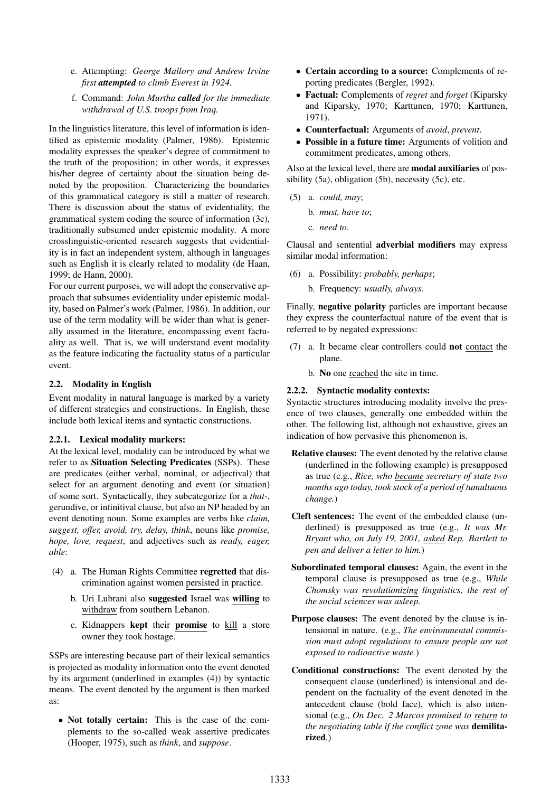- e. Attempting: *George Mallory and Andrew Irvine first attempted to climb Everest in 1924.*
- f. Command: *John Murtha called for the immediate withdrawal of U.S. troops from Iraq.*

In the linguistics literature, this level of information is identified as epistemic modality (Palmer, 1986). Epistemic modality expresses the speaker's degree of commitment to the truth of the proposition; in other words, it expresses his/her degree of certainty about the situation being denoted by the proposition. Characterizing the boundaries of this grammatical category is still a matter of research. There is discussion about the status of evidentiality, the grammatical system coding the source of information (3c), traditionally subsumed under epistemic modality. A more crosslinguistic-oriented research suggests that evidentiality is in fact an independent system, although in languages such as English it is clearly related to modality (de Haan, 1999; de Hann, 2000).

For our current purposes, we will adopt the conservative approach that subsumes evidentiality under epistemic modality, based on Palmer's work (Palmer, 1986). In addition, our use of the term modality will be wider than what is generally assumed in the literature, encompassing event factuality as well. That is, we will understand event modality as the feature indicating the factuality status of a particular event.

### 2.2. Modality in English

Event modality in natural language is marked by a variety of different strategies and constructions. In English, these include both lexical items and syntactic constructions.

### 2.2.1. Lexical modality markers:

At the lexical level, modality can be introduced by what we refer to as Situation Selecting Predicates (SSPs). These are predicates (either verbal, nominal, or adjectival) that select for an argument denoting and event (or situation) of some sort. Syntactically, they subcategorize for a *that-*, gerundive, or infinitival clause, but also an NP headed by an event denoting noun. Some examples are verbs like *claim, suggest, offer, avoid, try, delay, think*, nouns like *promise, hope, love, request*, and adjectives such as *ready, eager, able*:

- (4) a. The Human Rights Committee regretted that discrimination against women persisted in practice.
	- b. Uri Lubrani also suggested Israel was willing to withdraw from southern Lebanon.
	- c. Kidnappers kept their promise to kill a store owner they took hostage.

SSPs are interesting because part of their lexical semantics is projected as modality information onto the event denoted by its argument (underlined in examples (4)) by syntactic means. The event denoted by the argument is then marked as:

• Not totally certain: This is the case of the complements to the so-called weak assertive predicates (Hooper, 1975), such as *think*, and *suppose*.

- Certain according to a source: Complements of reporting predicates (Bergler, 1992).
- Factual: Complements of *regret* and *forget* (Kiparsky and Kiparsky, 1970; Karttunen, 1970; Karttunen, 1971).
- Counterfactual: Arguments of *avoid*, *prevent*.
- Possible in a future time: Arguments of volition and commitment predicates, among others.

Also at the lexical level, there are **modal auxiliaries** of possibility (5a), obligation (5b), necessity (5c), etc.

- (5) a. *could, may*;
	- b. *must, have to*;
	- c. *need to*.

Clausal and sentential adverbial modifiers may express similar modal information:

(6) a. Possibility: *probably, perhaps*;

b. Frequency: *usually, always*.

Finally, negative polarity particles are important because they express the counterfactual nature of the event that is referred to by negated expressions:

- (7) a. It became clear controllers could not contact the plane.
	- b. No one reached the site in time.

#### 2.2.2. Syntactic modality contexts:

Syntactic structures introducing modality involve the presence of two clauses, generally one embedded within the other. The following list, although not exhaustive, gives an indication of how pervasive this phenomenon is.

- Relative clauses: The event denoted by the relative clause (underlined in the following example) is presupposed as true (e.g., *Rice, who became secretary of state two months ago today, took stock of a period of tumultuous change.*)
- Cleft sentences: The event of the embedded clause (underlined) is presupposed as true (e.g., *It was Mr. Bryant who, on July 19, 2001, asked Rep. Bartlett to pen and deliver a letter to him.*)
- Subordinated temporal clauses: Again, the event in the temporal clause is presupposed as true (e.g., *While Chomsky was revolutionizing linguistics, the rest of the social sciences was asleep.*
- Purpose clauses: The event denoted by the clause is intensional in nature. (e.g., *The environmental commission must adopt regulations to ensure people are not exposed to radioactive waste.*)
- Conditional constructions: The event denoted by the consequent clause (underlined) is intensional and dependent on the factuality of the event denoted in the antecedent clause (bold face), which is also intensional (e.g., *On Dec. 2 Marcos promised to return to the negotiating table if the conflict zone was* demilitarized*.*)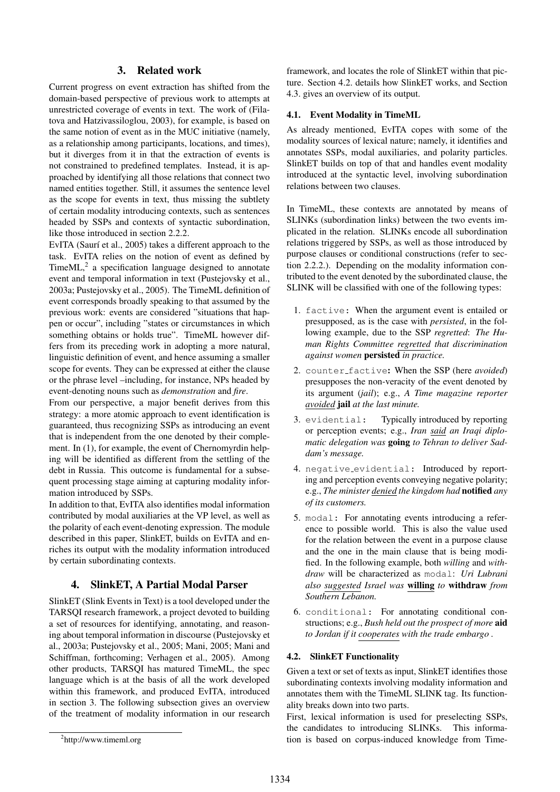# 3. Related work

Current progress on event extraction has shifted from the domain-based perspective of previous work to attempts at unrestricted coverage of events in text. The work of (Filatova and Hatzivassiloglou, 2003), for example, is based on the same notion of event as in the MUC initiative (namely, as a relationship among participants, locations, and times), but it diverges from it in that the extraction of events is not constrained to predefined templates. Instead, it is approached by identifying all those relations that connect two named entities together. Still, it assumes the sentence level as the scope for events in text, thus missing the subtlety of certain modality introducing contexts, such as sentences headed by SSPs and contexts of syntactic subordination, like those introduced in section 2.2.2.

EvITA (Saurí et al., 2005) takes a different approach to the task. EvITA relies on the notion of event as defined by TimeML,<sup>2</sup> a specification language designed to annotate event and temporal information in text (Pustejovsky et al., 2003a; Pustejovsky et al., 2005). The TimeML definition of event corresponds broadly speaking to that assumed by the previous work: events are considered "situations that happen or occur", including "states or circumstances in which something obtains or holds true". TimeML however differs from its preceding work in adopting a more natural, linguistic definition of event, and hence assuming a smaller scope for events. They can be expressed at either the clause or the phrase level –including, for instance, NPs headed by event-denoting nouns such as *demonstration* and *fire*.

From our perspective, a major benefit derives from this strategy: a more atomic approach to event identification is guaranteed, thus recognizing SSPs as introducing an event that is independent from the one denoted by their complement. In (1), for example, the event of Chernomyrdin helping will be identified as different from the settling of the debt in Russia. This outcome is fundamental for a subsequent processing stage aiming at capturing modality information introduced by SSPs.

In addition to that, EvITA also identifies modal information contributed by modal auxiliaries at the VP level, as well as the polarity of each event-denoting expression. The module described in this paper, SlinkET, builds on EvITA and enriches its output with the modality information introduced by certain subordinating contexts.

# 4. SlinkET, A Partial Modal Parser

SlinkET (Slink Events in Text) is a tool developed under the TARSQI research framework, a project devoted to building a set of resources for identifying, annotating, and reasoning about temporal information in discourse (Pustejovsky et al., 2003a; Pustejovsky et al., 2005; Mani, 2005; Mani and Schiffman, forthcoming; Verhagen et al., 2005). Among other products, TARSQI has matured TimeML, the spec language which is at the basis of all the work developed within this framework, and produced EvITA, introduced in section 3. The following subsection gives an overview of the treatment of modality information in our research framework, and locates the role of SlinkET within that picture. Section 4.2. details how SlinkET works, and Section 4.3. gives an overview of its output.

### 4.1. Event Modality in TimeML

As already mentioned, EvITA copes with some of the modality sources of lexical nature; namely, it identifies and annotates SSPs, modal auxiliaries, and polarity particles. SlinkET builds on top of that and handles event modality introduced at the syntactic level, involving subordination relations between two clauses.

In TimeML, these contexts are annotated by means of SLINKs (subordination links) between the two events implicated in the relation. SLINKs encode all subordination relations triggered by SSPs, as well as those introduced by purpose clauses or conditional constructions (refer to section 2.2.2.). Depending on the modality information contributed to the event denoted by the subordinated clause, the SLINK will be classified with one of the following types:

- 1. factive: When the argument event is entailed or presupposed, as is the case with *persisted*, in the following example, due to the SSP *regretted*: *The Human Rights Committee regretted that discrimination against women* persisted *in practice.*
- 2. counter factive: When the SSP (here *avoided*) presupposes the non-veracity of the event denoted by its argument (*jail*); e.g., *A Time magazine reporter avoided* jail *at the last minute.*
- 3. evidential: Typically introduced by reporting or perception events; e.g., *Iran said an Iraqi diplomatic delegation was* going *to Tehran to deliver Saddam's message.*
- 4. negative evidential: Introduced by reporting and perception events conveying negative polarity; e.g., *The minister denied the kingdom had* notified *any of its customers.*
- 5. modal: For annotating events introducing a reference to possible world. This is also the value used for the relation between the event in a purpose clause and the one in the main clause that is being modified. In the following example, both *willing* and *withdraw* will be characterized as modal: *Uri Lubrani also suggested Israel was* willing *to* withdraw *from Southern Lebanon.*
- 6. conditional: For annotating conditional constructions; e.g., *Bush held out the prospect of more* aid *to Jordan if it cooperates with the trade embargo .*

### 4.2. SlinkET Functionality

Given a text or set of texts as input, SlinkET identifies those subordinating contexts involving modality information and annotates them with the TimeML SLINK tag. Its functionality breaks down into two parts.

First, lexical information is used for preselecting SSPs, the candidates to introducing SLINKs. This information is based on corpus-induced knowledge from Time-

<sup>2</sup> http://www.timeml.org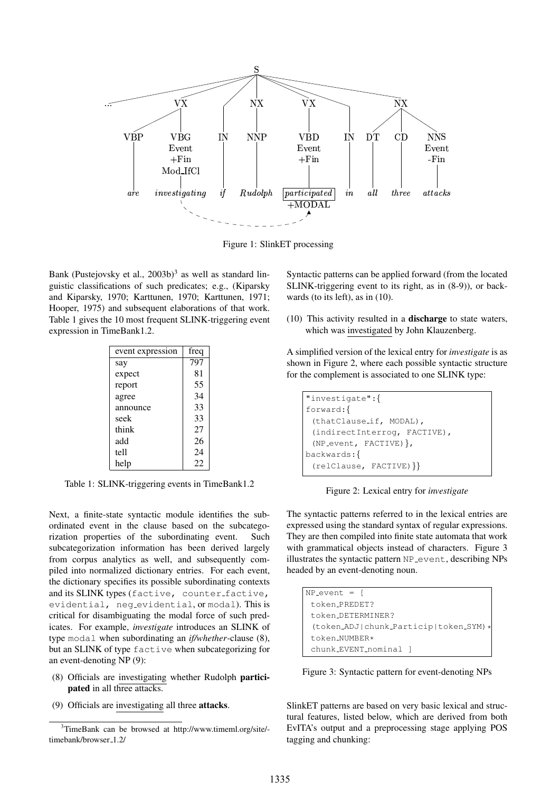

Figure 1: SlinkET processing

Bank (Pustejovsky et al., 2003b)<sup>3</sup> as well as standard linguistic classifications of such predicates; e.g., (Kiparsky and Kiparsky, 1970; Karttunen, 1970; Karttunen, 1971; Hooper, 1975) and subsequent elaborations of that work. Table 1 gives the 10 most frequent SLINK-triggering event expression in TimeBank1.2.

| event expression | freq |
|------------------|------|
| say              | 797  |
| expect           | 81   |
| report           | 55   |
| agree            | 34   |
| announce         | 33   |
| seek             | 33   |
| think            | 27   |
| add              | 26   |
| tell             | 24   |
| help             | 22   |

Table 1: SLINK-triggering events in TimeBank1.2

Next, a finite-state syntactic module identifies the subordinated event in the clause based on the subcategorization properties of the subordinating event. Such subcategorization information has been derived largely from corpus analytics as well, and subsequently compiled into normalized dictionary entries. For each event, the dictionary specifies its possible subordinating contexts and its SLINK types (factive, counter\_factive, evidential, neg evidential, or modal). This is critical for disambiguating the modal force of such predicates. For example, *investigate* introduces an SLINK of type modal when subordinating an *if/whether*-clause (8), but an SLINK of type factive when subcategorizing for an event-denoting NP (9):

- (8) Officials are investigating whether Rudolph participated in all three attacks.
- (9) Officials are investigating all three attacks.

Syntactic patterns can be applied forward (from the located SLINK-triggering event to its right, as in (8-9)), or backwards (to its left), as in (10).

(10) This activity resulted in a discharge to state waters, which was investigated by John Klauzenberg.

A simplified version of the lexical entry for *investigate* is as shown in Figure 2, where each possible syntactic structure for the complement is associated to one SLINK type:

```
"investigate":{
forward:{
 (thatClause if, MODAL),
 (indirectInterrog, FACTIVE),
 (NP event, FACTIVE)},
backwards:{
 (relClause, FACTIVE)}}
```
Figure 2: Lexical entry for *investigate*

The syntactic patterns referred to in the lexical entries are expressed using the standard syntax of regular expressions. They are then compiled into finite state automata that work with grammatical objects instead of characters. Figure 3 illustrates the syntactic pattern NP<sub>-event</sub>, describing NPs headed by an event-denoting noun.

| $NP_events =$                          |
|----------------------------------------|
| token_PREDET?                          |
| token_DETERMINFR?                      |
| (token_ADJ chunk_Particip token_SYM) * |
| token_NUMBER*                          |
| chunk_EVENT_nominal 1                  |
|                                        |

Figure 3: Syntactic pattern for event-denoting NPs

SlinkET patterns are based on very basic lexical and structural features, listed below, which are derived from both EvITA's output and a preprocessing stage applying POS tagging and chunking:

<sup>3</sup>TimeBank can be browsed at http://www.timeml.org/site/ timebank/browser\_1.2/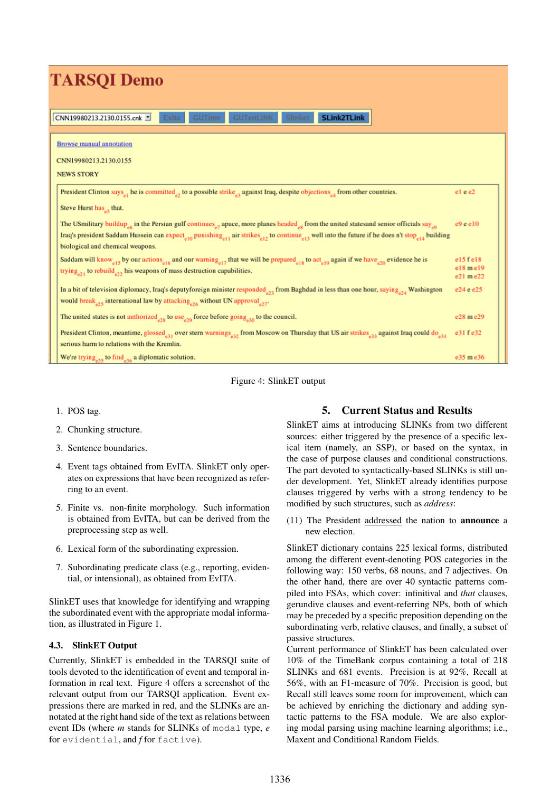| <b>TARSOI</b> Demo                                                                                                                                                                                                                                                                                                                                                                     |                                        |  |  |
|----------------------------------------------------------------------------------------------------------------------------------------------------------------------------------------------------------------------------------------------------------------------------------------------------------------------------------------------------------------------------------------|----------------------------------------|--|--|
| <b>SLink2TLink</b><br><b>GUTenLINK</b><br>CNN19980213.2130.0155.cnk<br><b>Slinket</b><br>Evita<br><b>GUTime</b>                                                                                                                                                                                                                                                                        |                                        |  |  |
| <b>Browse manual annotation</b><br>CNN19980213.2130.0155                                                                                                                                                                                                                                                                                                                               |                                        |  |  |
| <b>NEWS STORY</b>                                                                                                                                                                                                                                                                                                                                                                      |                                        |  |  |
| President Clinton says <sub>el</sub> he is committed <sub>e</sub> , to a possible strike <sub>s</sub> against Iraq, despite objections <sub>ed</sub> from other countries.<br>Steve Hurst has that.                                                                                                                                                                                    | el e e2                                |  |  |
| The USmilitary buildup a in the Persian gulf continues a apace, more planes headed of from the united states and senior officials say<br>Iraq's president Saddam Hussein can expect <sub>e10</sub> punishing <sub>e11</sub> air strikes <sub>e12</sub> to continue <sub>e13</sub> well into the future if he does n't stop <sub>e14</sub> building<br>biological and chemical weapons. | $e9$ e e $10$                          |  |  |
| Saddam will know <sub>el</sub> 5 by our actions <sub>el6</sub> and our warning <sub>el7</sub> that we will be prepared <sub>el8</sub> to act <sub>el9</sub> again if we have <sub>e70</sub> evidence he is<br>trying <sub>e21</sub> to rebuild <sub>e22</sub> his weapons of mass destruction capabilities.                                                                            | $e15$ fel $8$<br>el8 mel9<br>e21 m e22 |  |  |
| In a bit of television diplomacy, Iraq's deputyforeign minister responded <sub>22</sub> from Baghdad in less than one hour, saying <sub>224</sub> Washington<br>would break <sub>e25</sub> international law by attacking <sub>e26</sub> without UN approval <sub>e27</sub> .                                                                                                          | e24 e e25                              |  |  |
| The united states is not authorized $_{e28}$ to use $_{e29}$ force before going $_{e30}$ to the council.                                                                                                                                                                                                                                                                               | e28 m e29                              |  |  |
| President Clinton, meantime, glossed <sub>e31</sub> over stern warnings <sub>e32</sub> from Moscow on Thursday that US air strikes <sub>e33</sub> against Iraq could do <sub>e34</sub><br>serious harm to relations with the Kremlin.                                                                                                                                                  | e31 f e32                              |  |  |
| We're trying <sub>e35</sub> to find <sub>e36</sub> a diplomatic solution.                                                                                                                                                                                                                                                                                                              | e35 m e36                              |  |  |

Figure 4: SlinkET output

- 1. POS tag.
- 2. Chunking structure.
- 3. Sentence boundaries.
- 4. Event tags obtained from EvITA. SlinkET only operates on expressions that have been recognized as referring to an event.
- 5. Finite vs. non-finite morphology. Such information is obtained from EvITA, but can be derived from the preprocessing step as well.
- 6. Lexical form of the subordinating expression.
- 7. Subordinating predicate class (e.g., reporting, evidential, or intensional), as obtained from EvITA.

SlinkET uses that knowledge for identifying and wrapping the subordinated event with the appropriate modal information, as illustrated in Figure 1.

## 4.3. SlinkET Output

Currently, SlinkET is embedded in the TARSQI suite of tools devoted to the identification of event and temporal information in real text. Figure 4 offers a screenshot of the relevant output from our TARSQI application. Event expressions there are marked in red, and the SLINKs are annotated at the right hand side of the text as relations between event IDs (where *m* stands for SLINKs of modal type, *e* for evidential, and *f* for factive).

# 5. Current Status and Results

SlinkET aims at introducing SLINKs from two different sources: either triggered by the presence of a specific lexical item (namely, an SSP), or based on the syntax, in the case of purpose clauses and conditional constructions. The part devoted to syntactically-based SLINKs is still under development. Yet, SlinkET already identifies purpose clauses triggered by verbs with a strong tendency to be modified by such structures, such as *address*:

(11) The President addressed the nation to announce a new election.

SlinkET dictionary contains 225 lexical forms, distributed among the different event-denoting POS categories in the following way: 150 verbs, 68 nouns, and 7 adjectives. On the other hand, there are over 40 syntactic patterns compiled into FSAs, which cover: infinitival and *that* clauses, gerundive clauses and event-referring NPs, both of which may be preceded by a specific preposition depending on the subordinating verb, relative clauses, and finally, a subset of passive structures.

Current performance of SlinkET has been calculated over 10% of the TimeBank corpus containing a total of 218 SLINKs and 681 events. Precision is at 92%, Recall at 56%, with an F1-measure of 70%. Precision is good, but Recall still leaves some room for improvement, which can be achieved by enriching the dictionary and adding syntactic patterns to the FSA module. We are also exploring modal parsing using machine learning algorithms; i.e., Maxent and Conditional Random Fields.